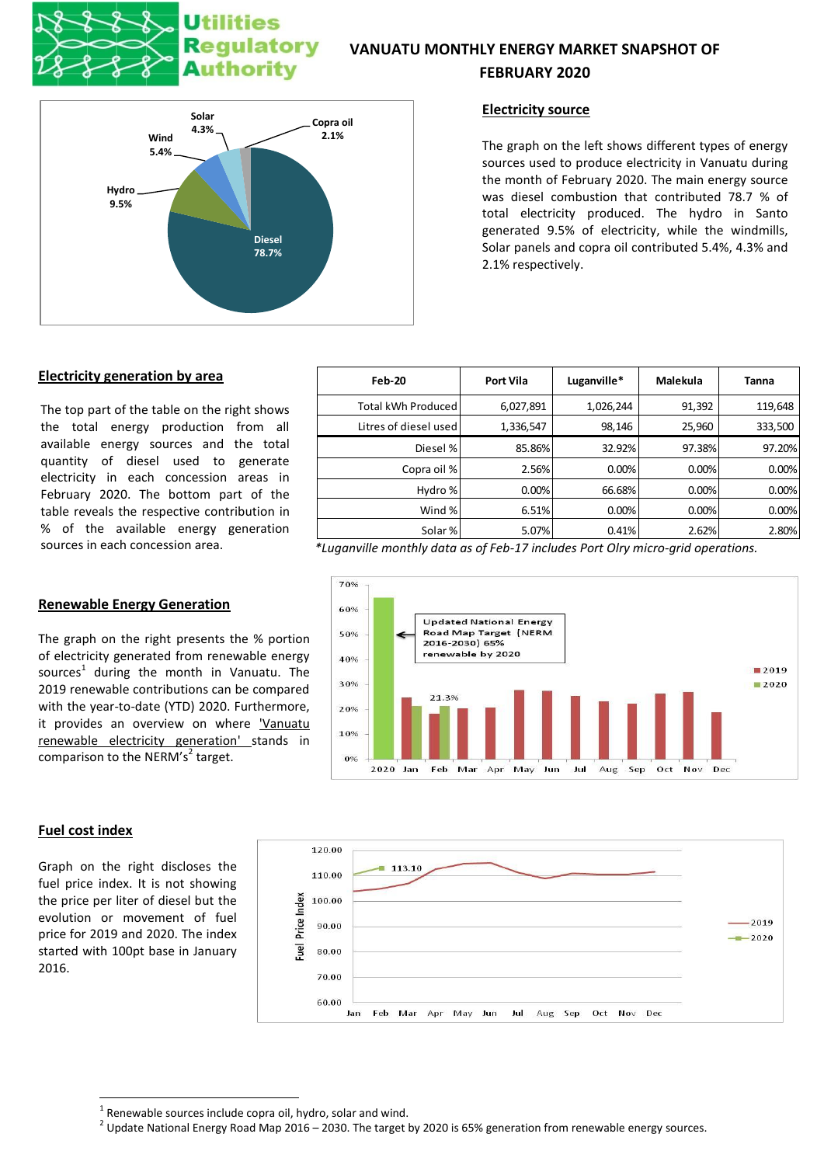# **Utilities** Regulatory **Authority**

# **VANUATU MONTHLY ENERGY MARKET SNAPSHOT OF FEBRUARY 2020**



# **Electricity source**

The graph on the left shows different types of energy sources used to produce electricity in Vanuatu during the month of February 2020. The main energy source was diesel combustion that contributed 78.7 % of total electricity produced. The hydro in Santo generated 9.5% of electricity, while the windmills, Solar panels and copra oil contributed 5.4%, 4.3% and 2.1% respectively.

### **Electricity generation by area**

The top part of the table on the right shows the total energy production from all available energy sources and the total quantity of diesel used to generate electricity in each concession areas in February 2020. The bottom part of the table reveals the respective contribution in % of the available energy generation

# **Renewable Energy Generation**

The graph on the right presents the % portion of electricity generated from renewable energy sources<sup>1</sup> during the month in Vanuatu. The 2019 renewable contributions can be compared with the year-to-date (YTD) 2020. Furthermore, it provides an overview on where 'Vanuatu renewable electricity generation' stands in comparison to the NERM's<sup>2</sup> target.



**.** 

Graph on the right discloses the fuel price index. It is not showing the price per liter of diesel but the evolution or movement of fuel price for 2019 and 2020. The index started with 100pt base in January 2016.

| Feb-20                | <b>Port Vila</b> | Luganville* | Malekula | Tanna   |
|-----------------------|------------------|-------------|----------|---------|
| Total kWh Produced    | 6,027,891        | 1,026,244   | 91,392   | 119,648 |
| Litres of diesel used | 1,336,547        | 98,146      | 25,960   | 333,500 |
| Diesel %              | 85.86%           | 32.92%      | 97.38%   | 97.20%  |
| Copra oil %           | 2.56%            | 0.00%       | 0.00%    | 0.00%   |
| Hydro %               | 0.00%            | 66.68%      | 0.00%    | 0.00%   |
| Wind %                | 6.51%            | 0.00%       | 0.00%    | 0.00%   |
| Solar %               | 5.07%            | 0.41%       | 2.62%    | 2.80%   |

sources in each concession area. *\*Luganville monthly data as of Feb-17 includes Port Olry micro-grid operations.*





 $1$  Renewable sources include copra oil, hydro, solar and wind.

 $^2$  Update National Energy Road Map 2016 – 2030. The target by 2020 is 65% generation from renewable energy sources.